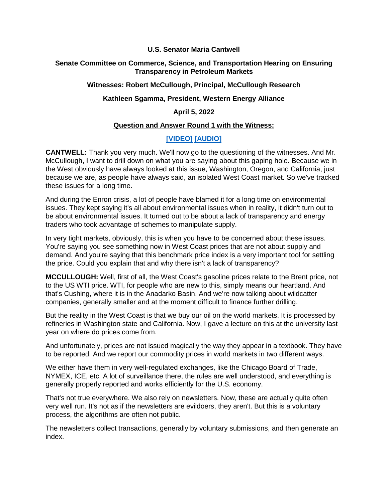#### **U.S. Senator Maria Cantwell**

# **Senate Committee on Commerce, Science, and Transportation Hearing on Ensuring Transparency in Petroleum Markets**

#### **Witnesses: Robert McCullough, Principal, McCullough Research**

# **Kathleen Sgamma, President, Western Energy Alliance**

# **April 5, 2022**

# **Question and Answer Round 1 with the Witness:**

# **[\[VIDEO\]](https://www.cantwell.senate.gov/download/04052022-commerce-qanda-video-) [\[AUDIO\]](https://www.cantwell.senate.gov/download/04052022-commerce-qanda-audio)**

**CANTWELL:** Thank you very much. We'll now go to the questioning of the witnesses. And Mr. McCullough, I want to drill down on what you are saying about this gaping hole. Because we in the West obviously have always looked at this issue, Washington, Oregon, and California, just because we are, as people have always said, an isolated West Coast market. So we've tracked these issues for a long time.

And during the Enron crisis, a lot of people have blamed it for a long time on environmental issues. They kept saying it's all about environmental issues when in reality, it didn't turn out to be about environmental issues. It turned out to be about a lack of transparency and energy traders who took advantage of schemes to manipulate supply.

In very tight markets, obviously, this is when you have to be concerned about these issues. You're saying you see something now in West Coast prices that are not about supply and demand. And you're saying that this benchmark price index is a very important tool for settling the price. Could you explain that and why there isn't a lack of transparency?

**MCCULLOUGH:** Well, first of all, the West Coast's gasoline prices relate to the Brent price, not to the US WTI price. WTI, for people who are new to this, simply means our heartland. And that's Cushing, where it is in the Anadarko Basin. And we're now talking about wildcatter companies, generally smaller and at the moment difficult to finance further drilling.

But the reality in the West Coast is that we buy our oil on the world markets. It is processed by refineries in Washington state and California. Now, I gave a lecture on this at the university last year on where do prices come from.

And unfortunately, prices are not issued magically the way they appear in a textbook. They have to be reported. And we report our commodity prices in world markets in two different ways.

We either have them in very well-regulated exchanges, like the Chicago Board of Trade, NYMEX, ICE, etc. A lot of surveillance there, the rules are well understood, and everything is generally properly reported and works efficiently for the U.S. economy.

That's not true everywhere. We also rely on newsletters. Now, these are actually quite often very well run. It's not as if the newsletters are evildoers, they aren't. But this is a voluntary process, the algorithms are often not public.

The newsletters collect transactions, generally by voluntary submissions, and then generate an index.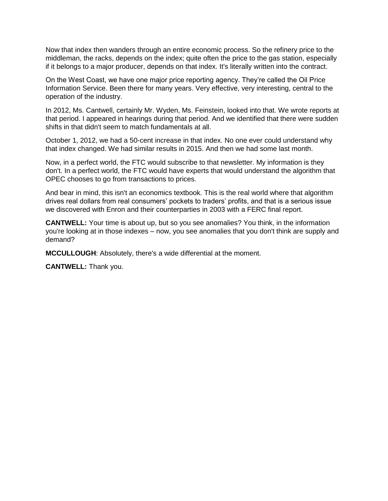Now that index then wanders through an entire economic process. So the refinery price to the middleman, the racks, depends on the index; quite often the price to the gas station, especially if it belongs to a major producer, depends on that index. It's literally written into the contract.

On the West Coast, we have one major price reporting agency. They're called the Oil Price Information Service. Been there for many years. Very effective, very interesting, central to the operation of the industry.

In 2012, Ms. Cantwell, certainly Mr. Wyden, Ms. Feinstein, looked into that. We wrote reports at that period. I appeared in hearings during that period. And we identified that there were sudden shifts in that didn't seem to match fundamentals at all.

October 1, 2012, we had a 50-cent increase in that index. No one ever could understand why that index changed. We had similar results in 2015. And then we had some last month.

Now, in a perfect world, the FTC would subscribe to that newsletter. My information is they don't. In a perfect world, the FTC would have experts that would understand the algorithm that OPEC chooses to go from transactions to prices.

And bear in mind, this isn't an economics textbook. This is the real world where that algorithm drives real dollars from real consumers' pockets to traders' profits, and that is a serious issue we discovered with Enron and their counterparties in 2003 with a FERC final report.

**CANTWELL:** Your time is about up, but so you see anomalies? You think, in the information you're looking at in those indexes – now, you see anomalies that you don't think are supply and demand?

**MCCULLOUGH**: Absolutely, there's a wide differential at the moment.

**CANTWELL:** Thank you.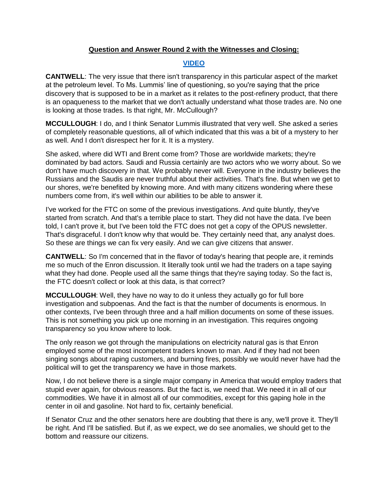### **Question and Answer Round 2 with the Witnesses and Closing:**

### **[VIDEO](https://youtu.be/CfUj_RCyXNM)**

**CANTWELL**: The very issue that there isn't transparency in this particular aspect of the market at the petroleum level. To Ms. Lummis' line of questioning, so you're saying that the price discovery that is supposed to be in a market as it relates to the post-refinery product, that there is an opaqueness to the market that we don't actually understand what those trades are. No one is looking at those trades. Is that right, Mr. McCullough?

**MCCULLOUGH**: I do, and I think Senator Lummis illustrated that very well. She asked a series of completely reasonable questions, all of which indicated that this was a bit of a mystery to her as well. And I don't disrespect her for it. It is a mystery.

She asked, where did WTI and Brent come from? Those are worldwide markets; they're dominated by bad actors. Saudi and Russia certainly are two actors who we worry about. So we don't have much discovery in that. We probably never will. Everyone in the industry believes the Russians and the Saudis are never truthful about their activities. That's fine. But when we get to our shores, we're benefited by knowing more. And with many citizens wondering where these numbers come from, it's well within our abilities to be able to answer it.

I've worked for the FTC on some of the previous investigations. And quite bluntly, they've started from scratch. And that's a terrible place to start. They did not have the data. I've been told, I can't prove it, but I've been told the FTC does not get a copy of the OPUS newsletter. That's disgraceful. I don't know why that would be. They certainly need that, any analyst does. So these are things we can fix very easily. And we can give citizens that answer.

**CANTWELL**: So I'm concerned that in the flavor of today's hearing that people are, it reminds me so much of the Enron discussion. It literally took until we had the traders on a tape saying what they had done. People used all the same things that they're saying today. So the fact is, the FTC doesn't collect or look at this data, is that correct?

**MCCULLOUGH**: Well, they have no way to do it unless they actually go for full bore investigation and subpoenas. And the fact is that the number of documents is enormous. In other contexts, I've been through three and a half million documents on some of these issues. This is not something you pick up one morning in an investigation. This requires ongoing transparency so you know where to look.

The only reason we got through the manipulations on electricity natural gas is that Enron employed some of the most incompetent traders known to man. And if they had not been singing songs about raping customers, and burning fires, possibly we would never have had the political will to get the transparency we have in those markets.

Now, I do not believe there is a single major company in America that would employ traders that stupid ever again, for obvious reasons. But the fact is, we need that. We need it in all of our commodities. We have it in almost all of our commodities, except for this gaping hole in the center in oil and gasoline. Not hard to fix, certainly beneficial.

If Senator Cruz and the other senators here are doubting that there is any, we'll prove it. They'll be right. And I'll be satisfied. But if, as we expect, we do see anomalies, we should get to the bottom and reassure our citizens.